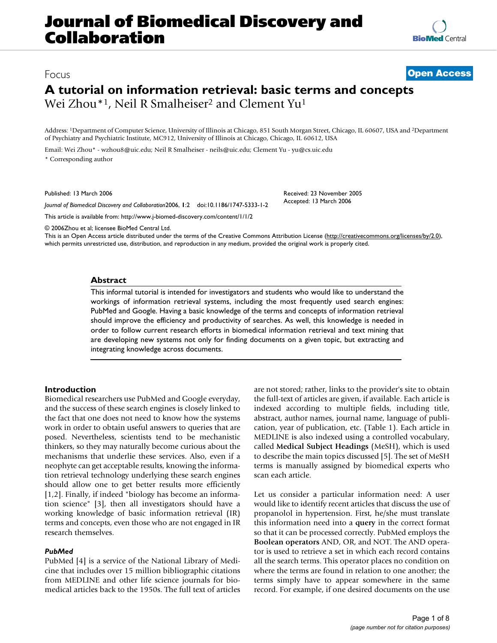# Focus **[Open Access](http://www.biomedcentral.com/info/about/charter/) A tutorial on information retrieval: basic terms and concepts** Wei Zhou\*<sup>1</sup>, Neil R Smalheiser<sup>2</sup> and Clement Yu<sup>1</sup>

Address: 1Department of Computer Science, University of Illinois at Chicago, 851 South Morgan Street, Chicago, IL 60607, USA and 2Department of Psychiatry and Psychiatric Institute, MC912, University of Illinois at Chicago, Chicago, IL 60612, USA

Email: Wei Zhou\* - wzhou8@uic.edu; Neil R Smalheiser - neils@uic.edu; Clement Yu - yu@cs.uic.edu \* Corresponding author

Published: 13 March 2006

*Journal of Biomedical Discovery and Collaboration*2006, **1**:2 doi:10.1186/1747-5333-1-2

[This article is available from: http://www.j-biomed-discovery.com/content/1/1/2](http://www.j-biomed-discovery.com/content/1/1/2)

© 2006Zhou et al; licensee BioMed Central Ltd.

This is an Open Access article distributed under the terms of the Creative Commons Attribution License [\(http://creativecommons.org/licenses/by/2.0\)](http://creativecommons.org/licenses/by/2.0), which permits unrestricted use, distribution, and reproduction in any medium, provided the original work is properly cited.

## **Abstract**

This informal tutorial is intended for investigators and students who would like to understand the workings of information retrieval systems, including the most frequently used search engines: PubMed and Google. Having a basic knowledge of the terms and concepts of information retrieval should improve the efficiency and productivity of searches. As well, this knowledge is needed in order to follow current research efforts in biomedical information retrieval and text mining that are developing new systems not only for finding documents on a given topic, but extracting and integrating knowledge across documents.

# **Introduction**

Biomedical researchers use PubMed and Google everyday, and the success of these search engines is closely linked to the fact that one does not need to know how the systems work in order to obtain useful answers to queries that are posed. Nevertheless, scientists tend to be mechanistic thinkers, so they may naturally become curious about the mechanisms that underlie these services. Also, even if a neophyte can get acceptable results, knowing the information retrieval technology underlying these search engines should allow one to get better results more efficiently [1,2]. Finally, if indeed "biology has become an information science" [3], then all investigators should have a working knowledge of basic information retrieval (IR) terms and concepts, even those who are not engaged in IR research themselves.

# *PubMed*

PubMed [4] is a service of the National Library of Medicine that includes over 15 million bibliographic citations from MEDLINE and other life science journals for biomedical articles back to the 1950s. The full text of articles are not stored; rather, links to the provider's site to obtain the full-text of articles are given, if available. Each article is indexed according to multiple fields, including title, abstract, author names, journal name, language of publication, year of publication, etc. (Table 1). Each article in MEDLINE is also indexed using a controlled vocabulary, called **Medical Subject Headings** (MeSH), which is used to describe the main topics discussed [5]. The set of MeSH terms is manually assigned by biomedical experts who scan each article.

Received: 23 November 2005 Accepted: 13 March 2006

Let us consider a particular information need: A user would like to identify recent articles that discuss the use of propanolol in hypertension. First, he/she must translate this information need into a **query** in the correct format so that it can be processed correctly. PubMed employs the **Boolean operators** AND, OR, and NOT. The AND operator is used to retrieve a set in which each record contains all the search terms. This operator places no condition on where the terms are found in relation to one another; the terms simply have to appear somewhere in the same record. For example, if one desired documents on the use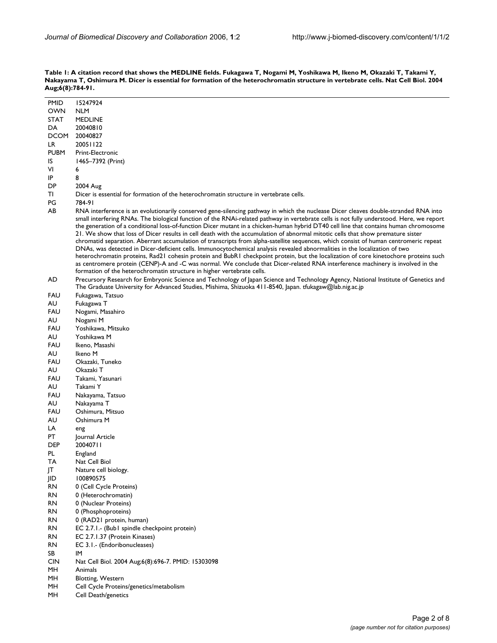| <b>PMID</b>      | 15247924                                                                                                                                                                                                                                                                          |
|------------------|-----------------------------------------------------------------------------------------------------------------------------------------------------------------------------------------------------------------------------------------------------------------------------------|
| <b>OWN</b>       | <b>NLM</b>                                                                                                                                                                                                                                                                        |
| <b>STAT</b>      | <b>MEDLINE</b>                                                                                                                                                                                                                                                                    |
| DA               | 20040810                                                                                                                                                                                                                                                                          |
| <b>DCOM</b>      | 20040827                                                                                                                                                                                                                                                                          |
| LR               | 20051122                                                                                                                                                                                                                                                                          |
| <b>PUBM</b>      | Print-Electronic                                                                                                                                                                                                                                                                  |
| IS               | 1465–7392 (Print)                                                                                                                                                                                                                                                                 |
| VI               | 6                                                                                                                                                                                                                                                                                 |
| IP               | 8                                                                                                                                                                                                                                                                                 |
| DP               | 2004 Aug                                                                                                                                                                                                                                                                          |
| ΤI               | Dicer is essential for formation of the heterochromatin structure in vertebrate cells.<br>784-91                                                                                                                                                                                  |
| PG<br>AB         | RNA interference is an evolutionarily conserved gene-silencing pathway in which the nuclease Dicer cleaves double-stranded RNA into                                                                                                                                               |
|                  | small interfering RNAs. The biological function of the RNAi-related pathway in vertebrate cells is not fully understood. Here, we report<br>the generation of a conditional loss-of-function Dicer mutant in a chicken-human hybrid DT40 cell line that contains human chromosome |
|                  | 21. We show that loss of Dicer results in cell death with the accumulation of abnormal mitotic cells that show premature sister                                                                                                                                                   |
|                  | chromatid separation. Aberrant accumulation of transcripts from alpha-satellite sequences, which consist of human centromeric repeat<br>DNAs, was detected in Dicer-deficient cells. Immunocytochemical analysis revealed abnormalities in the localization of two                |
|                  | heterochromatin proteins, Rad21 cohesin protein and BubR1 checkpoint protein, but the localization of core kinetochore proteins such                                                                                                                                              |
|                  | as centromere protein (CENP)-A and -C was normal. We conclude that Dicer-related RNA interference machinery is involved in the<br>formation of the heterochromatin structure in higher vertebrate cells.                                                                          |
| AD.              | Precursory Research for Embryonic Science and Technology of Japan Science and Technology Agency, National Institute of Genetics and<br>The Graduate University for Advanced Studies, Mishima, Shizuoka 411-8540, Japan. tfukagaw@lab.nig.ac.jp                                    |
| FAU              | Fukagawa, Tatsuo                                                                                                                                                                                                                                                                  |
| AU               | Fukagawa T                                                                                                                                                                                                                                                                        |
| FAU              | Nogami, Masahiro                                                                                                                                                                                                                                                                  |
| AU               | Nogami M                                                                                                                                                                                                                                                                          |
| FAU              | Yoshikawa, Mitsuko                                                                                                                                                                                                                                                                |
| AU               | Yoshikawa M                                                                                                                                                                                                                                                                       |
| FAU              | Ikeno, Masashi                                                                                                                                                                                                                                                                    |
| AU               | Ikeno M                                                                                                                                                                                                                                                                           |
| FAU              | Okazaki, Tuneko                                                                                                                                                                                                                                                                   |
| AU               | Okazaki T                                                                                                                                                                                                                                                                         |
| FAU              | Takami, Yasunari                                                                                                                                                                                                                                                                  |
| AU               | Takami Y                                                                                                                                                                                                                                                                          |
| FAU              | Nakayama, Tatsuo                                                                                                                                                                                                                                                                  |
| AU<br><b>FAU</b> | Nakayama T                                                                                                                                                                                                                                                                        |
| AU               | Oshimura, Mitsuo<br>Oshimura M                                                                                                                                                                                                                                                    |
| LA               |                                                                                                                                                                                                                                                                                   |
| PT               | eng<br>Journal Article                                                                                                                                                                                                                                                            |
| <b>DEP</b>       | 20040711                                                                                                                                                                                                                                                                          |
| PL.              | England                                                                                                                                                                                                                                                                           |
| TA               | Nat Cell Biol                                                                                                                                                                                                                                                                     |
| JT               | Nature cell biology.                                                                                                                                                                                                                                                              |
| JID              | 100890575                                                                                                                                                                                                                                                                         |
| RN               | 0 (Cell Cycle Proteins)                                                                                                                                                                                                                                                           |
| RN               | 0 (Heterochromatin)                                                                                                                                                                                                                                                               |
| RN               | 0 (Nuclear Proteins)                                                                                                                                                                                                                                                              |
| RN               | 0 (Phosphoproteins)                                                                                                                                                                                                                                                               |
| RN               | 0 (RAD21 protein, human)                                                                                                                                                                                                                                                          |
| RN               | EC 2.7.1.- (Bub1 spindle checkpoint protein)                                                                                                                                                                                                                                      |
| RN               | EC 2.7.1.37 (Protein Kinases)                                                                                                                                                                                                                                                     |
| RN               | EC 3.1.- (Endoribonucleases)                                                                                                                                                                                                                                                      |
| SB               | IΜ                                                                                                                                                                                                                                                                                |
| <b>CIN</b>       | Nat Cell Biol. 2004 Aug;6(8):696-7. PMID: 15303098                                                                                                                                                                                                                                |
| MH               | Animals                                                                                                                                                                                                                                                                           |
| MH               | <b>Blotting, Western</b>                                                                                                                                                                                                                                                          |
| MН               | Cell Cycle Proteins/genetics/metabolism                                                                                                                                                                                                                                           |
| MH               | Cell Death/genetics                                                                                                                                                                                                                                                               |

**Table 1: A citation record that shows the MEDLINE fields. Fukagawa T, Nogami M, Yoshikawa M, Ikeno M, Okazaki T, Takami Y, Nakayama T, Oshimura M. Dicer is essential for formation of the heterochromatin structure in vertebrate cells. Nat Cell Biol. 2004 Aug;6(8):784-91.**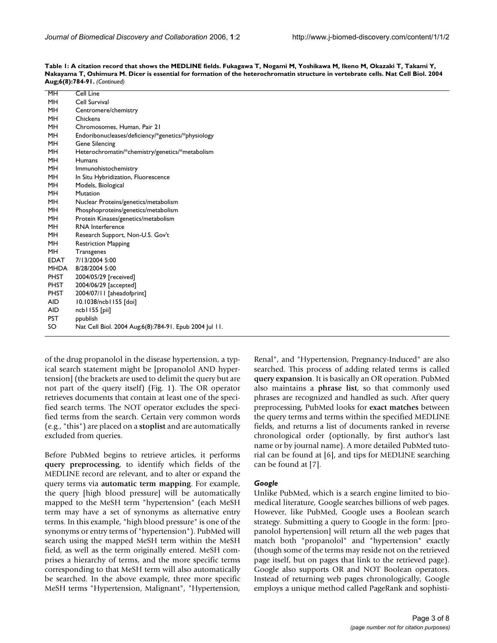| MН          | Cell Line                                              |
|-------------|--------------------------------------------------------|
| MН          | Cell Survival                                          |
| MН          | Centromere/chemistry                                   |
| MН          | Chickens                                               |
| MН          | Chromosomes, Human, Pair 21                            |
| MН          | Endoribonucleases/deficiency/*genetics/*physiology     |
| MН          | Gene Silencing                                         |
| MН          | Heterochromatin/*chemistry/genetics/*metabolism        |
| MН          | <b>Humans</b>                                          |
| MН          | Immunohistochemistry                                   |
| MН          | In Situ Hybridization, Fluorescence                    |
| MН          | Models, Biological                                     |
| MН          | Mutation                                               |
| MН          | Nuclear Proteins/genetics/metabolism                   |
| MH.         | Phosphoproteins/genetics/metabolism                    |
| MН          | Protein Kinases/genetics/metabolism                    |
| MН          | <b>RNA</b> Interference                                |
| MН          | Research Support, Non-U.S. Gov't                       |
| MН          | <b>Restriction Mapping</b>                             |
| MН          | Transgenes                                             |
| EDAT        | 7/13/2004 5:00                                         |
| <b>MHDA</b> | 8/28/2004 5:00                                         |
| PHST        | 2004/05/29 [received]                                  |
| PHST        | 2004/06/29 [accepted]                                  |
| PHST        | 2004/07/11 [aheadofprint]                              |
| AID.        | 10.1038/ncb1155 [doi]                                  |
| AID.        | ncb1155 [pii]                                          |
| <b>PST</b>  | ppublish                                               |
| SO          | Nat Cell Biol. 2004 Aug;6(8):784-91. Epub 2004 Jul 11. |
|             |                                                        |

**Table 1: A citation record that shows the MEDLINE fields. Fukagawa T, Nogami M, Yoshikawa M, Ikeno M, Okazaki T, Takami Y, Nakayama T, Oshimura M. Dicer is essential for formation of the heterochromatin structure in vertebrate cells. Nat Cell Biol. 2004 Aug;6(8):784-91.** *(Continued)*

of the drug propanolol in the disease hypertension, a typical search statement might be [propanolol AND hypertension] (the brackets are used to delimit the query but are not part of the query itself) (Fig. 1). The OR operator retrieves documents that contain at least one of the specified search terms. The NOT operator excludes the specified terms from the search. Certain very common words (e.g., "this") are placed on a **stoplist** and are automatically excluded from queries.

Before PubMed begins to retrieve articles, it performs **query preprocessing**, to identify which fields of the MEDLINE record are relevant, and to alter or expand the query terms via **automatic term mapping**. For example, the query [high blood pressure] will be automatically mapped to the MeSH term "hypertension" (each MeSH term may have a set of synonyms as alternative entry terms. In this example, "high blood pressure" is one of the synonyms or entry terms of "hypertension"). PubMed will search using the mapped MeSH term within the MeSH field, as well as the term originally entered. MeSH comprises a hierarchy of terms, and the more specific terms corresponding to that MeSH term will also automatically be searched. In the above example, three more specific MeSH terms "Hypertension, Malignant", "Hypertension,

Renal", and "Hypertension, Pregnancy-Induced" are also searched. This process of adding related terms is called **query expansion**. It is basically an OR operation. PubMed also maintains a **phrase list**, so that commonly used phrases are recognized and handled as such. After query preprocessing, PubMed looks for **exact matches** between the query terms and terms within the specified MEDLINE fields, and returns a list of documents ranked in reverse chronological order (optionally, by first author's last name or by journal name). A more detailed PubMed tutorial can be found at [6], and tips for MEDLINE searching can be found at [7].

## *Google*

Unlike PubMed, which is a search engine limited to biomedical literature, Google searches billions of web pages. However, like PubMed, Google uses a Boolean search strategy. Submitting a query to Google in the form: [propanolol hypertension] will return all the web pages that match both "propanolol" and "hypertension" exactly (though some of the terms may reside not on the retrieved page itself, but on pages that link to the retrieved page). Google also supports OR and NOT Boolean operators. Instead of returning web pages chronologically, Google employs a unique method called PageRank and sophisti-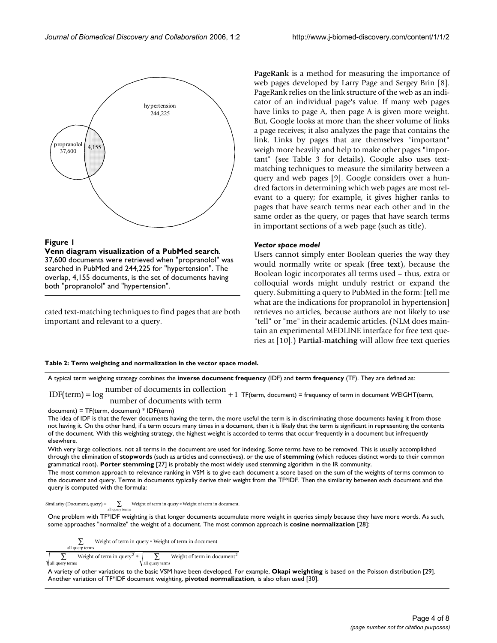

# **Figure 1**

**Venn diagram visualization of a PubMed search**. 37,600 documents were retrieved when "propranolol" was searched in PubMed and 244,225 for "hypertension". The overlap, 4,155 documents, is the set of documents having both "propranolol" and "hypertension".

cated text-matching techniques to find pages that are both important and relevant to a query.

**PageRank** is a method for measuring the importance of web pages developed by Larry Page and Sergey Brin [8]. PageRank relies on the link structure of the web as an indicator of an individual page's value. If many web pages have links to page A, then page A is given more weight. But, Google looks at more than the sheer volume of links a page receives; it also analyzes the page that contains the link. Links by pages that are themselves "important" weigh more heavily and help to make other pages "important" (see Table 3 for details). Google also uses textmatching techniques to measure the similarity between a query and web pages [9]. Google considers over a hundred factors in determining which web pages are most relevant to a query; for example, it gives higher ranks to pages that have search terms near each other and in the same order as the query, or pages that have search terms in important sections of a web page (such as title).

# *Vector space model*

Users cannot simply enter Boolean queries the way they would normally write or speak (**free text**), because the Boolean logic incorporates all terms used – thus, extra or colloquial words might unduly restrict or expand the query. Submitting a query to PubMed in the form: [tell me what are the indications for propranolol in hypertension] retrieves no articles, because authors are not likely to use "tell" or "me" in their academic articles. (NLM does maintain an experimental MEDLINE interface for free text queries at [10].) **Partial-matching** will allow free text queries

**Table 2: Term weighting and normalization in the vector space model.**

A typical term weighting strategy combines the **inverse document frequency** (IDF) and **term frequency** (TF). They are defined as:

 $IDF(term) = log \frac{number of documents in collection}{number of documents with term} + 1$  TF(term, document) = frequency of term in document WEIGHT(term,

document) = TF(term, document) \* IDF(term)

The idea of IDF is that the fewer documents having the term, the more useful the term is in discriminating those documents having it from those not having it. On the other hand, if a term occurs many times in a document, then it is likely that the term is significant in representing the contents of the document. With this weighting strategy, the highest weight is accorded to terms that occur frequently in a document but infrequently elsewhere.

With very large collections, not all terms in the document are used for indexing. Some terms have to be removed. This is usually accomplished through the elimination of **stopwords** (such as articles and connectives), or the use of **stemming** (which reduces distinct words to their common grammatical root). **Porter stemming** [27] is probably the most widely used stemming algorithm in the IR community.

The most common approach to relevance ranking in VSM is to give each document a score based on the sum of the weights of terms common to the document and query. Terms in documents typically derive their weight from the TF\*IDF. Then the similarity between each document and the query is computed with the formula:

Similarly (Document, query) = 
$$
\sum_{\text{all query terms}}
$$
 Weight of term in query \* Weight of term in document.

One problem with TF\*IDF weighting is that longer documents accumulate more weight in queries simply because they have more words. As such, some approaches "normalize" the weight of a document. The most common approach is **cosine normalization** [28]:

Weight of term in query \* Weight of term in document ∑

all quer**y** terms  $\sqrt{\rm all}$  query terms Weight of term in query  $\sum$  Weight of term in query<sup>2</sup>  $\ast$   $\sum$  Weight of term in document<sup>2</sup>  $\sqrt{\frac{\sum_{\text{all query terms}}$ 

A variety of other variations to the basic VSM have been developed. For example, **Okapi weighting** is based on the Poisson distribution [29]. Another variation of TF\*IDF document weighting, **pivoted normalization**, is also often used [30].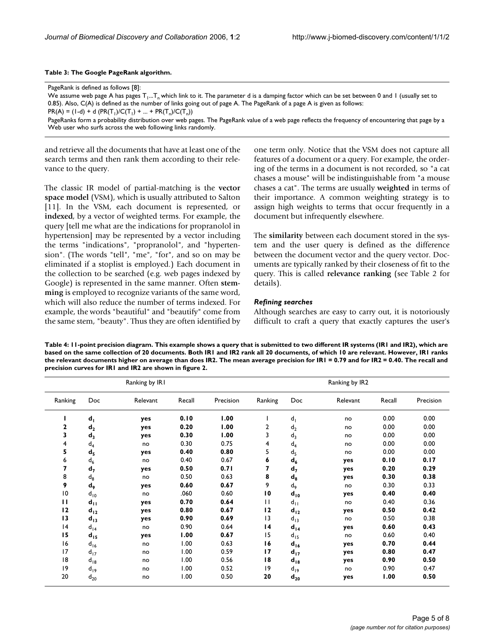#### **Table 3: The Google PageRank algorithm.**

| PageRank is defined as follows [8]:                                                                                                              |
|--------------------------------------------------------------------------------------------------------------------------------------------------|
| We assume web page A has pages $T_1T_n$ which link to it. The parameter d is a damping factor which can be set between 0 and 1 (usually set to   |
| 0.85). Also, C(A) is defined as the number of links going out of page A. The PageRank of a page A is given as follows:                           |
| $PR(A) = (1-d) + d (PR(T_1)/C(T_1) +  + PR(T_n)/C(T_n))$                                                                                         |
| PageRanks form a probability distribution over web pages. The PageRank value of a web page reflects the frequency of encountering that page by a |
| Web user who surfs across the web following links randomly.                                                                                      |
|                                                                                                                                                  |

and retrieve all the documents that have at least one of the search terms and then rank them according to their relevance to the query.

The classic IR model of partial-matching is the **vector space model** (VSM), which is usually attributed to Salton [11]. In the VSM, each document is represented, or **indexed**, by a vector of weighted terms. For example, the query [tell me what are the indications for propranolol in hypertension] may be represented by a vector including the terms "indications", "propranolol", and "hypertension". (The words "tell", "me", "for", and so on may be eliminated if a stoplist is employed.) Each document in the collection to be searched (e.g. web pages indexed by Google) is represented in the same manner. Often **stemming** is employed to recognize variants of the same word, which will also reduce the number of terms indexed. For example, the words "beautiful" and "beautify" come from the same stem, "beauty". Thus they are often identified by one term only. Notice that the VSM does not capture all features of a document or a query. For example, the ordering of the terms in a document is not recorded, so "a cat chases a mouse" will be indistinguishable from "a mouse chases a cat". The terms are usually **weighted** in terms of their importance. A common weighting strategy is to assign high weights to terms that occur frequently in a document but infrequently elsewhere.

The **similarity** between each document stored in the system and the user query is defined as the difference between the document vector and the query vector. Documents are typically ranked by their closeness of fit to the query. This is called **relevance ranking** (see Table 2 for details).

#### *Refining searches*

Although searches are easy to carry out, it is notoriously difficult to craft a query that exactly captures the user's

**Table 4: 11-point precision diagram. This example shows a query that is submitted to two different IR systems (IR1 and IR2), which are based on the same collection of 20 documents. Both IR1 and IR2 rank all 20 documents, of which 10 are relevant. However, IR1 ranks the relevant documents higher on average than does IR2. The mean average precision for IR1 = 0.79 and for IR2 = 0.40. The recall and precision curves for IR1 and IR2 are shown in figure 2.**

| Ranking by IRI  |                  |          |        |           | Ranking by IR2  |                         |          |        |           |
|-----------------|------------------|----------|--------|-----------|-----------------|-------------------------|----------|--------|-----------|
| Ranking         | Doc              | Relevant | Recall | Precision | Ranking         | Doc                     | Relevant | Recall | Precision |
|                 | $d_1$            | yes      | 0.10   | 1.00      |                 | $\mathsf{d}_\mathsf{l}$ | no       | 0.00   | 0.00      |
| $\mathbf 2$     | d <sub>2</sub>   | yes      | 0.20   | 1.00      | 2               | $\mathsf{d}_2$          | no       | 0.00   | 0.00      |
| 3               | $d_3$            | yes      | 0.30   | 1.00      | 3               | $d_3$                   | no       | 0.00   | 0.00      |
| 4               | $d_4$            | no       | 0.30   | 0.75      | 4               | $d_4$                   | no       | 0.00   | 0.00      |
| 5               | $d_5$            | yes      | 0.40   | 0.80      | 5               | $d_5$                   | no       | 0.00   | 0.00      |
| 6               | $d_6$            | no       | 0.40   | 0.67      | 6               | $d_6$                   | yes      | 0.10   | 0.17      |
| 7               | $d_7$            | yes      | 0.50   | 0.71      | 7               | $d_7$                   | yes      | 0.20   | 0.29      |
| 8               | $d_8$            | no       | 0.50   | 0.63      | 8               | $\mathbf{d}_8$          | yes      | 0.30   | 0.38      |
| 9               | $\mathbf{d}_{9}$ | yes      | 0.60   | 0.67      | 9               | d <sub>9</sub>          | no       | 0.30   | 0.33      |
| $\overline{10}$ | $d_{10}$         | no       | .060   | 0.60      | 10              | $d_{10}$                | yes      | 0.40   | 0.40      |
| П               | $d_{11}$         | yes      | 0.70   | 0.64      | П               | $d_{11}$                | no       | 0.40   | 0.36      |
| 12              | $d_{12}$         | yes      | 0.80   | 0.67      | 12              | $d_{12}$                | yes      | 0.50   | 0.42      |
| 13              | $d_{13}$         | yes      | 0.90   | 0.69      | 13              | $d_{13}$                | no       | 0.50   | 0.38      |
| 4               | $d_{14}$         | no       | 0.90   | 0.64      | $\overline{14}$ | $d_{14}$                | yes      | 0.60   | 0.43      |
| 15              | $d_{15}$         | yes      | 1.00   | 0.67      | 15              | $d_{15}$                | no       | 0.60   | 0.40      |
| 16              | $d_{16}$         | no       | 1.00   | 0.63      | 16              | $d_{16}$                | yes      | 0.70   | 0.44      |
| 17              | $d_{17}$         | no       | 1.00   | 0.59      | 17              | $d_{17}$                | yes      | 0.80   | 0.47      |
| 18              | $d_{18}$         | no       | 1.00   | 0.56      | 18              | $d_{18}$                | yes      | 0.90   | 0.50      |
| 9               | $d_{19}$         | no       | 1.00   | 0.52      | 9               | $d_{19}$                | no       | 0.90   | 0.47      |
| 20              | $d_{20}$         | no       | 1.00   | 0.50      | 20              | $d_{20}$                | yes      | 1.00   | 0.50      |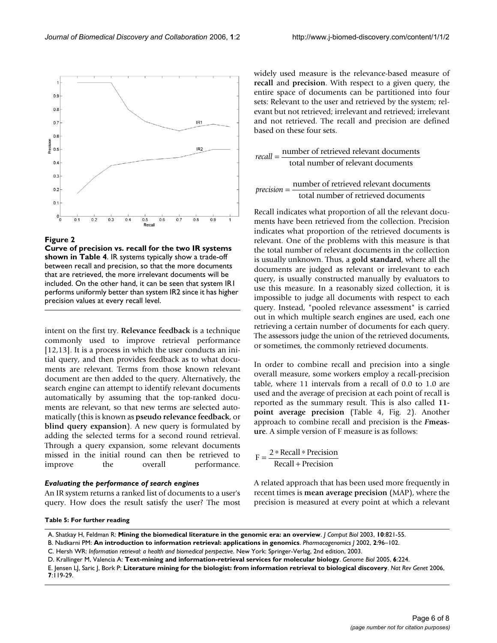

# Figure 2

**Curve of precision vs. recall for the two IR systems shown in Table 4**. IR systems typically show a trade-off between recall and precision, so that the more documents that are retrieved, the more irrelevant documents will be included. On the other hand, it can be seen that system IR1 performs uniformly better than system IR2 since it has higher precision values at every recall level.

intent on the first try. **Relevance feedback** is a technique commonly used to improve retrieval performance [12,13]. It is a process in which the user conducts an initial query, and then provides feedback as to what documents are relevant. Terms from those known relevant document are then added to the query. Alternatively, the search engine can attempt to identify relevant documents automatically by assuming that the top-ranked documents are relevant, so that new terms are selected automatically (this is known as **pseudo relevance feedback**, or **blind query expansion**). A new query is formulated by adding the selected terms for a second round retrieval. Through a query expansion, some relevant documents missed in the initial round can then be retrieved to improve the overall performance.

# *Evaluating the performance of search engines*

An IR system returns a ranked list of documents to a user's query. How does the result satisfy the user? The most widely used measure is the relevance-based measure of **recall** and **precision**. With respect to a given query, the entire space of documents can be partitioned into four sets: Relevant to the user and retrieved by the system; relevant but not retrieved; irrelevant and retrieved; irrelevant and not retrieved. The recall and precision are defined based on these four sets.

*recall* <sup>=</sup> number of retrieved relevant documents total number of relevant documents

*precision* =  $\frac{\text{number of retrieved relevant documents}}{\text{number of the original data}}$ total number of retrieved documents

Recall indicates what proportion of all the relevant documents have been retrieved from the collection. Precision indicates what proportion of the retrieved documents is relevant. One of the problems with this measure is that the total number of relevant documents in the collection is usually unknown. Thus, a **gold standard**, where all the documents are judged as relevant or irrelevant to each query, is usually constructed manually by evaluators to use this measure. In a reasonably sized collection, it is impossible to judge all documents with respect to each query. Instead, "pooled relevance assessment" is carried out in which multiple search engines are used, each one retrieving a certain number of documents for each query. The assessors judge the union of the retrieved documents, or sometimes, the commonly retrieved documents.

In order to combine recall and precision into a single overall measure, some workers employ a recall-precision table, where 11 intervals from a recall of 0.0 to 1.0 are used and the average of precision at each point of recall is reported as the summary result. This is also called **11 point average precision** (Table 4, Fig. 2). Another approach to combine recall and precision is the *F***measure**. A simple version of F measure is as follows:

 $F = \frac{2 * Recall * Precision}{Recall + Precision}$ 2

A related approach that has been used more frequently in recent times is **mean average precision** (MAP), where the precision is measured at every point at which a relevant

#### **Table 5: For further reading**

A. Shatkay H, Feldman R: **Mining the biomedical literature in the genomic era: an overview**. *J Comput Biol* 2003, **10**:821-55.

B. Nadkarni PM: **An introduction to information retrieval: applications in genomics**. *Pharmacogenomics J* 2002, **2**:96–102.

C. Hersh WR: *Information retrieval: a health and biomedical perspective*. New York: Springer-Verlag, 2nd edition, 2003.

E. Jensen LJ, Saric J, Bork P: **Literature mining for the biologist: from information retrieval to biological discovery**. *Nat Rev Genet* 2006, **7**:119-29.

D. Krallinger M, Valencia A: **Text-mining and information-retrieval services for molecular biology**. *Genome Biol* 2005, **6**:224.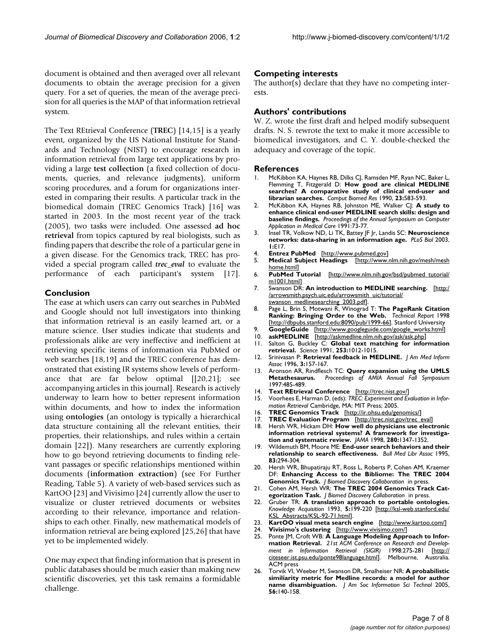document is obtained and then averaged over all relevant documents to obtain the average precision for a given query. For a set of queries, the mean of the average precision for all queries is the MAP of that information retrieval system.

The Text REtrieval Conference (**TREC**) [14,15] is a yearly event, organized by the US National Institute for Standards and Technology (NIST) to encourage research in information retrieval from large text applications by providing a large **test collection** (a fixed collection of documents, queries, and relevance judgments), uniform scoring procedures, and a forum for organizations interested in comparing their results. A particular track in the biomedical domain (TREC Genomics Track) [16] was started in 2003. In the most recent year of the track (2005), two tasks were included. One assessed **ad hoc retrieval** from topics captured by real biologists, such as finding papers that describe the role of a particular gene in a given disease. For the Genomics track, TREC has provided a special program called *trec\_eval* to evaluate the performance of each participant's system [17].

## **Conclusion**

The ease at which users can carry out searches in PubMed and Google should not lull investigators into thinking that information retrieval is an easily learned art, or a mature science. User studies indicate that students and professionals alike are very ineffective and inefficient at retrieving specific items of information via PubMed or web searches [18,19] and the TREC conference has demonstrated that existing IR systems show levels of performance that are far below optimal [[20,21]; see accompanying articles in this journal]. Research is actively underway to learn how to better represent information within documents, and how to index the information using **ontologies** (an ontology is typically a hierarchical data structure containing all the relevant entities, their properties, their relationships, and rules within a certain domain [22]). Many researchers are currently exploring how to go beyond retrieving documents to finding relevant passages or specific relationships mentioned within documents (**information extraction**) (see For Further Reading, Table 5). A variety of web-based services such as KartOO [23] and Vivisimo [24] currently allow the user to visualize or cluster retrieved documents or websites according to their relevance, importance and relationships to each other. Finally, new mathematical models of information retrieval are being explored [25,26] that have yet to be implemented widely.

One may expect that finding information that is present in public databases should be much easier than making new scientific discoveries, yet this task remains a formidable challenge.

## **Competing interests**

The author(s) declare that they have no competing interests.

# **Authors' contributions**

W. Z. wrote the first draft and helped modify subsequent drafts. N. S. rewrote the text to make it more accessible to biomedical investigators, and C. Y. double-checked the adequacy and coverage of the topic.

#### **References**

- McKibbon KA, Haynes RB, Dilks CJ, Ramsden MF, Ryan NC, Baker L, Flemming T, Fitzgerald D: **[How good are clinical MEDLINE](http://www.ncbi.nlm.nih.gov/entrez/query.fcgi?cmd=Retrieve&db=PubMed&dopt=Abstract&list_uids=2276266) [searches? A comparative study of clinical end-user and](http://www.ncbi.nlm.nih.gov/entrez/query.fcgi?cmd=Retrieve&db=PubMed&dopt=Abstract&list_uids=2276266) [librarian searches.](http://www.ncbi.nlm.nih.gov/entrez/query.fcgi?cmd=Retrieve&db=PubMed&dopt=Abstract&list_uids=2276266)** *Comput Biomed Res* 1990, **23:**583-593.
- 2. McKibbon KA, Haynes RB, Johnston ME, Walker CJ: **A study to enhance clinical end-user MEDLINE search skills: design and baseline findings.** *Proceedings of the Annual Symposium on Computer Application in Medical Care* 1991:73-77.
- 3. Insel TR, Volkow ND, Li TK, Battey JF Jr, Landis SC: **[Neuroscience](http://www.ncbi.nlm.nih.gov/entrez/query.fcgi?cmd=Retrieve&db=PubMed&dopt=Abstract&list_uids=14551914) [networks: data-sharing in an information age.](http://www.ncbi.nlm.nih.gov/entrez/query.fcgi?cmd=Retrieve&db=PubMed&dopt=Abstract&list_uids=14551914)** *PLoS Biol* 2003, **1:**E17.
- 4. **Entrez PubMed** [<http://www.pubmed.gov>]
- 5. **Medical Subject Headings** [\[http://www.nlm.nih.gov/mesh/mesh](http://www.nlm.nih.gov/mesh/meshhome.html) [home.html\]](http://www.nlm.nih.gov/mesh/meshhome.html)
- 6. **PubMed Tutorial** [\[http://www.nlm.nih.gov/bsd/pubmed\\_tutorial/](http://www.nlm.nih.gov/bsd/pubmed_tutorial/m1001.html) [m1001.html\]](http://www.nlm.nih.gov/bsd/pubmed_tutorial/m1001.html)
- 7. Swanson DR: **An introduction to MEDLINE searching.** [[http:/](http://arrowsmith.psych.uic.edu/arrowsmith_uic/tutorial/swanson_medlinesearching_2003.pdf) [/arrowsmith.psych.uic.edu/arrowsmith\\_uic/tutorial/](http://arrowsmith.psych.uic.edu/arrowsmith_uic/tutorial/swanson_medlinesearching_2003.pdf) [swanson\\_medlinesearching\\_2003.pdf](http://arrowsmith.psych.uic.edu/arrowsmith_uic/tutorial/swanson_medlinesearching_2003.pdf)].
- 8. Page L, Brin S, Motwani R, Winograd T: **The PageRank Citation Ranking: Bringing Order to the Web.** *Technical Report* 1998 [<http://dbpubs.stanford.edu:8090/pub/1999-66>]. Stanford University
- 9. **GoogleGuide** [[http://www.googleguide.com/google\\_works.html](http://www.googleguide.com/google_works.html)]
- 10. **askMEDLINE** [\[http://askmedline.nlm.nih.gov/ask/ask.php\]](http://askmedline.nlm.nih.gov/ask/ask.php)
- 11. Salton G, Buckley C: **Global text matching for information retrieval.** *Science* 1991, **253:**1012-1015.
- 12. Srinivasan P: **[Retrieval feedback in MEDLINE.](http://www.ncbi.nlm.nih.gov/entrez/query.fcgi?cmd=Retrieve&db=PubMed&dopt=Abstract&list_uids=8653452)** *J Am Med Inform Assoc* 1996, **3:**157-167.
- 13. Aronson AR, Rindflesch TC: **Query expansion using the UMLS Metathesaurus.** *Proceedings of AMIA Annual Fall Symposium* 1997:485-489.
- 14. **Text REtrieval Conference** [[http://trec.nist.gov/\]](http://trec.nist.gov/)
- 15. Voorhees E, Harman D, (eds): *TREC: Experiment and Evaluation in Information Retrieval* Cambridge, MA: MIT Press; 2005.
- 16. **TREC Genomics Track** [[http://ir.ohsu.edu/genomics/\]](http://ir.ohsu.edu/genomics/)
- 17. **TREC Evaluation Program** [[http://trec.nist.gov/trec\\_eval\]](http://trec.nist.gov/trec_eval)
- 18. Hersh WR, Hickam DH: **[How well do physicians use electronic](http://www.ncbi.nlm.nih.gov/entrez/query.fcgi?cmd=Retrieve&db=PubMed&dopt=Abstract&list_uids=9794316) [information retrieval systems? A framework for investiga](http://www.ncbi.nlm.nih.gov/entrez/query.fcgi?cmd=Retrieve&db=PubMed&dopt=Abstract&list_uids=9794316)[tion and systematic review.](http://www.ncbi.nlm.nih.gov/entrez/query.fcgi?cmd=Retrieve&db=PubMed&dopt=Abstract&list_uids=9794316)** *JAMA* 1998, **280:**1347-1352.
- 19. Wildemuth BM, Moore ME: **[End-user search behaviors and their](http://www.ncbi.nlm.nih.gov/entrez/query.fcgi?cmd=Retrieve&db=PubMed&dopt=Abstract&list_uids=7581185) [relationship to search effectiveness.](http://www.ncbi.nlm.nih.gov/entrez/query.fcgi?cmd=Retrieve&db=PubMed&dopt=Abstract&list_uids=7581185)** *Bull Med Libr Assoc* 1995, **83:**294-304.
- 20. Hersh WR, Bhupatiraju RT, Ross L, Roberts P, Cohen AM, Kraemer DF: **Enhancing Access to the Bibliome: The TREC 2004 Genomics Track.** *J Biomed Discovery Collaboration* in press.
- 21. Cohen AM, Hersh WR: **The TREC 2004 Genomics Track Categorization Task.** *J Biomed Discovery Collaboration* in press.
- 22. Gruber TR: **A translation approach to portable ontologies.** *Knowledge Acquisition* 1993, **5:**199-220 [\[http://ksl-web.stanford.edu/](http://ksl-web.stanford.edu/KSL_Abstracts/KSL-92-71.html) [KSL\\_Abstracts/KSL-92-71.html](http://ksl-web.stanford.edu/KSL_Abstracts/KSL-92-71.html)].
- 23. **KartOO visual meta search engine** [\[http://www.kartoo.com/\]](http://www.kartoo.com/)
- 24. **Vivisimo's clustering** [<http://www.vivisimo.com/>]
- 25. Ponte JM, Croft WB: **A Language Modeling Approach to Information Retrieval.** *21st ACM Conference on Research and Development in Information Retrieval (SIGIR)* 1998:275-281 [\[http://](http://citeseer.ist.psu.edu/ponte98language.html) [citeseer.ist.psu.edu/ponte98language.html](http://citeseer.ist.psu.edu/ponte98language.html)]. ACM press
- 26. Torvik VI, Weeber M, Swanson DR, Smalheiser NR: **A probabilistic similiarity metric for Medline records: a model for author name disambiguation.** *J Am Soc Information Sci Technol* 2005, **56:**140-158.